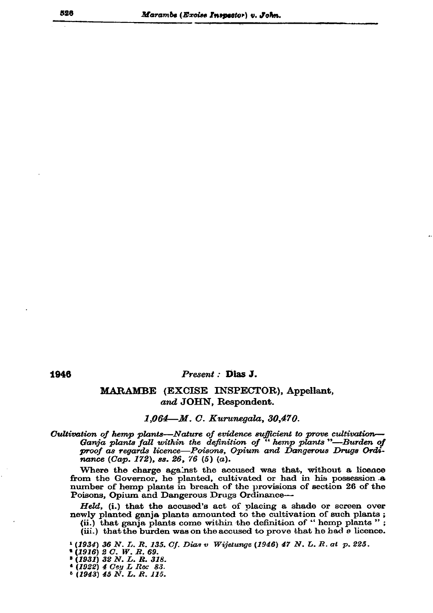## Present : Dias J.

## MARAMBE (EXCISE INSPECTOR), Appellant, and JOHN, Respondent.

## 1,064—M. C. Kurunegala, 30,470.

Cultivation of hemp plants—Nature of evidence sufficient to prove cultivation— Ganja plants fall within the definition of " hemp plants"—Burden of proof as regards licence-Poisons, Opium and Dangerous Drugs Ordinance (Cap. 172), ss. 26, 76 (5) (a).

Where the charge against the accused was that, without a licence from the Governor, he planted, cultivated or had in his possession a number of hemp plants in breach of the provisions of section 26 of the Poisons, Opium and Dangerous Drugs Ordinance-

Held, (i.) that the accused's act of placing a shade or screen over newly planted ganja plants amounted to the cultivation of such plants;

(ii.) that ganja plants come within the definition of "hemp plants"; (iii.) that the burden was on the accused to prove that he had a licence.

<sup>1</sup> (1934) 36 N. I. R. 135. Cf. Dias v Wijetunge (1946) 47 N. L. R. at p. 225.

- 
- \* (1916) 2 C. W. R. 69.<br>\* (1931) 32 N. L. R. 318.<br>\* (1922) 4 Cey L Rec 83.<br>\* (1943) 45 N. L. R. 115.
- 
-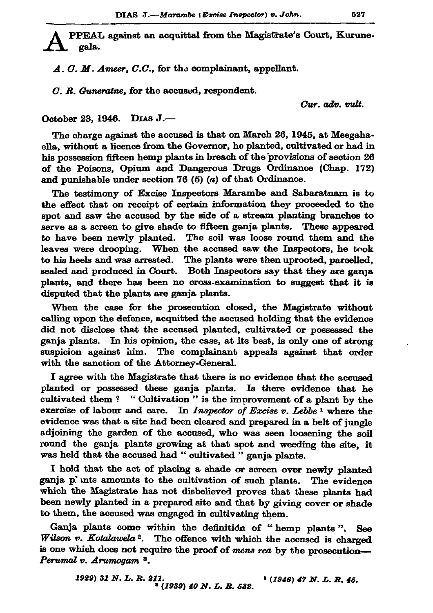PPEAL against an acquittal from the Magistrate's Court, Kurunegala.

A. O. M. Ameer, C.C., for the complainant, appellant.

C. R. Guneratne, for the accused, respondent.

Cur. adv. vult.

October 23, 1946. DIAS J.-

The charge against the accused is that on March 26, 1945, at Meegahaella, without a licence from the Governor, he planted, cultivated or had in his possession fifteen hemp plants in breach of the provisions of section 26 of the Poisons, Opium and Dangerous Drugs Ordinance (Chap. 172) and punishable under section 76  $(5)$   $(a)$  of that Ordinance.

The testimony of Excise Inspectors Marambe and Sabaratnam is to the effect that on receipt of certain information they proceeded to the spot and saw the accused by the side of a stream planting branches to serve as a screen to give shade to fifteen ganja plants. These appeared to have been newly planted. The soil was loose round them and the leaves were drooping. When the accused saw the Inspectors, he took to his heels and was arrested. The plants were then uprooted, parcelled, sealed and produced in Court. Both Inspectors say that they are ganja plants, and there has been no cross-examination to suggest that it is disputed that the plants are ganja plants.

When the case for the prosecution closed, the Magistrate without calling upon the defence, acquitted the accused holding that the evidence did not disclose that the accused planted, cultivated or possessed the ganja plants. In his opinion, the case, at its best, is only one of strong suspicion against him. The complainant appeals against that order with the sanction of the Attorney-General.

I agree with the Magistrate that there is no evidence that the accused planted or possessed these ganja plants. Is there evidence that he cultivated them? "Cultivation" is the improvement of a plant by the exercise of labour and care. In Inspector of Excise  $v$ . Lebbe<sup>1</sup> where the evidence was that a site had been cleared and prepared in a belt of jungle adjoining the garden of the accused, who was seen loosening the soil round the ganja plants growing at that spot and weeding the site, it was held that the accused had "cultivated " ganja plants.

I hold that the act of placing a shade or screen over newly planted ganja p'unts amounts to the cultivation of such plants. The evidence which the Magistrate has not disbelieved proves that these plants had been newly planted in a prepared site and that by giving cover or shade to them, the accused was engaged in cultivating them.

Ganja plants come within the definition of "hemp plants". See Wilson v. Kotalawela<sup>2</sup>. The offence with which the accused is charged is one which does not require the proof of mens rea by the prosecution-Perumal v. Arumogam<sup>3</sup>.

> 1929) 31 N.L.R. 211.  $*(1946)$  47 N. L. R. 45. <sup>8</sup> (1939) 40 N.L.R. 632.